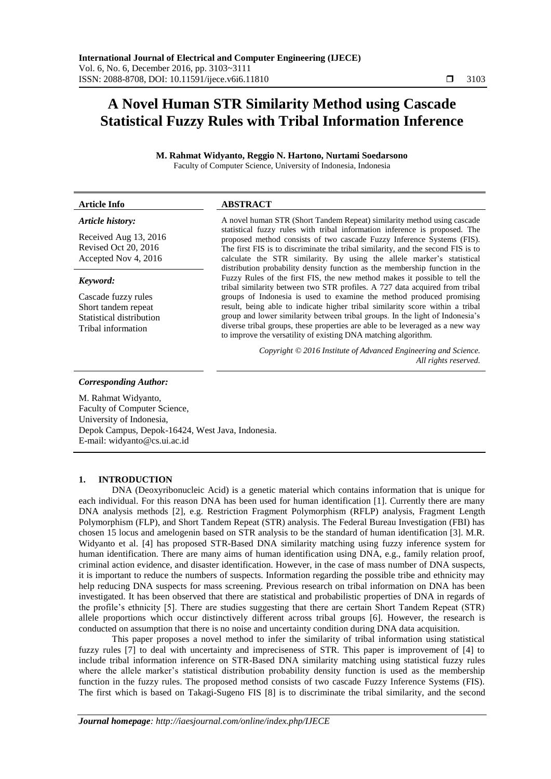# **A Novel Human STR Similarity Method using Cascade Statistical Fuzzy Rules with Tribal Information Inference**

**M. Rahmat Widyanto, Reggio N. Hartono, Nurtami Soedarsono** Faculty of Computer Science, University of Indonesia, Indonesia

# **Article Info ABSTRACT**

# *Article history:*

Received Aug 13, 2016 Revised Oct 20, 2016 Accepted Nov 4, 2016

#### *Keyword:*

Cascade fuzzy rules Short tandem repeat Statistical distribution Tribal information

A novel human STR (Short Tandem Repeat) similarity method using cascade statistical fuzzy rules with tribal information inference is proposed. The proposed method consists of two cascade Fuzzy Inference Systems (FIS). The first FIS is to discriminate the tribal similarity, and the second FIS is to calculate the STR similarity. By using the allele marker's statistical distribution probability density function as the membership function in the Fuzzy Rules of the first FIS, the new method makes it possible to tell the tribal similarity between two STR profiles. A 727 data acquired from tribal groups of Indonesia is used to examine the method produced promising result, being able to indicate higher tribal similarity score within a tribal group and lower similarity between tribal groups. In the light of Indonesia's diverse tribal groups, these properties are able to be leveraged as a new way to improve the versatility of existing DNA matching algorithm.

> *Copyright © 2016 Institute of Advanced Engineering and Science. All rights reserved.*

#### *Corresponding Author:*

M. Rahmat Widyanto, Faculty of Computer Science, University of Indonesia, Depok Campus, Depok-16424, West Java, Indonesia. E-mail: widyanto@cs.ui.ac.id

#### **1. INTRODUCTION**

DNA (Deoxyribonucleic Acid) is a genetic material which contains information that is unique for each individual. For this reason DNA has been used for human identification [1]. Currently there are many DNA analysis methods [2], e.g. Restriction Fragment Polymorphism (RFLP) analysis, Fragment Length Polymorphism (FLP), and Short Tandem Repeat (STR) analysis. The Federal Bureau Investigation (FBI) has chosen 15 locus and amelogenin based on STR analysis to be the standard of human identification [3]. M.R. Widyanto et al. [4] has proposed STR-Based DNA similarity matching using fuzzy inference system for human identification. There are many aims of human identification using DNA, e.g., family relation proof, criminal action evidence, and disaster identification. However, in the case of mass number of DNA suspects, it is important to reduce the numbers of suspects. Information regarding the possible tribe and ethnicity may help reducing DNA suspects for mass screening. Previous research on tribal information on DNA has been investigated. It has been observed that there are statistical and probabilistic properties of DNA in regards of the profile's ethnicity [5]. There are studies suggesting that there are certain Short Tandem Repeat (STR) allele proportions which occur distinctively different across tribal groups [6]. However, the research is conducted on assumption that there is no noise and uncertainty condition during DNA data acquisition.

This paper proposes a novel method to infer the similarity of tribal information using statistical fuzzy rules [7] to deal with uncertainty and impreciseness of STR. This paper is improvement of [4] to include tribal information inference on STR-Based DNA similarity matching using statistical fuzzy rules where the allele marker's statistical distribution probability density function is used as the membership function in the fuzzy rules. The proposed method consists of two cascade Fuzzy Inference Systems (FIS). The first which is based on Takagi-Sugeno FIS [8] is to discriminate the tribal similarity, and the second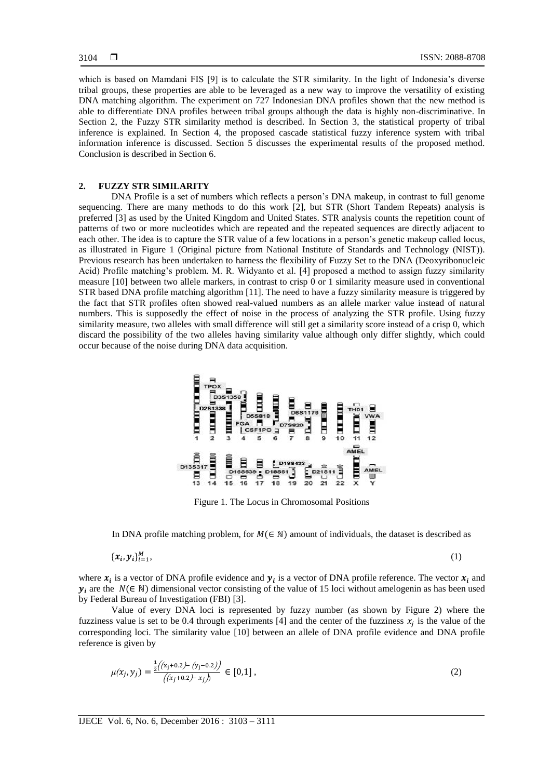which is based on Mamdani FIS [9] is to calculate the STR similarity. In the light of Indonesia's diverse tribal groups, these properties are able to be leveraged as a new way to improve the versatility of existing DNA matching algorithm. The experiment on 727 Indonesian DNA profiles shown that the new method is able to differentiate DNA profiles between tribal groups although the data is highly non-discriminative. In Section 2, the Fuzzy STR similarity method is described. In Section 3, the statistical property of tribal inference is explained. In Section 4, the proposed cascade statistical fuzzy inference system with tribal information inference is discussed. Section 5 discusses the experimental results of the proposed method. Conclusion is described in Section 6.

### **2. FUZZY STR SIMILARITY**

DNA Profile is a set of numbers which reflects a person's DNA makeup, in contrast to full genome sequencing. There are many methods to do this work [2], but STR (Short Tandem Repeats) analysis is preferred [3] as used by the United Kingdom and United States. STR analysis counts the repetition count of patterns of two or more nucleotides which are repeated and the repeated sequences are directly adjacent to each other. The idea is to capture the STR value of a few locations in a person's genetic makeup called locus, as illustrated in Figure 1 (Original picture from National Institute of Standards and Technology (NIST)). Previous research has been undertaken to harness the flexibility of Fuzzy Set to the DNA (Deoxyribonucleic Acid) Profile matching's problem. M. R. Widyanto et al. [4] proposed a method to assign fuzzy similarity measure [10] between two allele markers, in contrast to crisp 0 or 1 similarity measure used in conventional STR based DNA profile matching algorithm [11]. The need to have a fuzzy similarity measure is triggered by the fact that STR profiles often showed real-valued numbers as an allele marker value instead of natural numbers. This is supposedly the effect of noise in the process of analyzing the STR profile. Using fuzzy similarity measure, two alleles with small difference will still get a similarity score instead of a crisp 0, which discard the possibility of the two alleles having similarity value although only differ slightly, which could occur because of the noise during DNA data acquisition.



Figure 1. The Locus in Chromosomal Positions

In DNA profile matching problem, for  $M \in \mathbb{N}$ ) amount of individuals, the dataset is described as

$$
\{\boldsymbol{x}_i, \boldsymbol{y}_i\}_{i=1}^M,\tag{1}
$$

where  $x_i$  is a vector of DNA profile evidence and  $y_i$  is a vector of DNA profile reference. The vector  $x_i$  and  $y_i$  are the  $N(\in \mathbb{N})$  dimensional vector consisting of the value of 15 loci without amelogenin as has been used by Federal Bureau of Investigation (FBI) [3].

Value of every DNA loci is represented by fuzzy number (as shown by Figure 2) where the fuzziness value is set to be 0.4 through experiments [4] and the center of the fuzziness  $x_i$  is the value of the corresponding loci. The similarity value [10] between an allele of DNA profile evidence and DNA profile reference is given by

$$
\mu(x_j, y_j) = \frac{\frac{1}{2}((x_j + 0.2) - (y_j - 0.2))}{((x_j + 0.2) - x_j)} \in [0, 1],
$$
\n(2)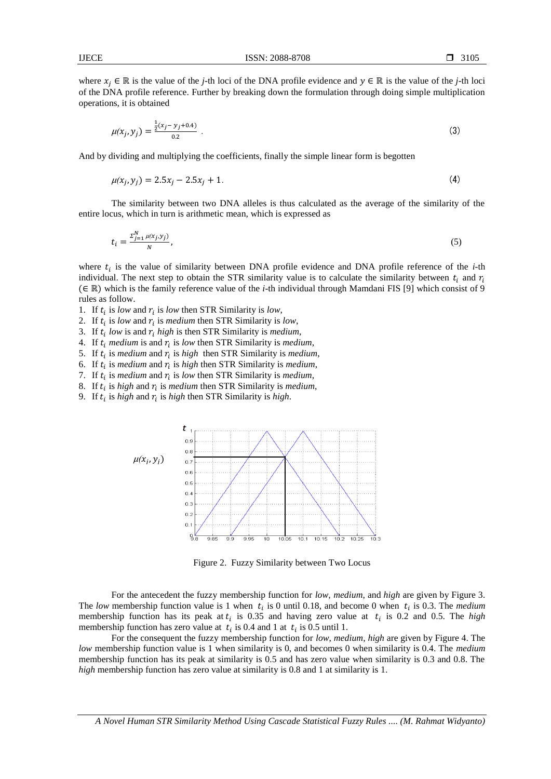where  $x_i \in \mathbb{R}$  is the value of the *j*-th loci of the DNA profile evidence and  $y \in \mathbb{R}$  is the value of the *j*-th loci of the DNA profile reference. Further by breaking down the formulation through doing simple multiplication operations, it is obtained

$$
\mu(x_j, y_j) = \frac{\frac{1}{2}(x_j - y_j + 0.4)}{0.2} \tag{3}
$$

And by dividing and multiplying the coefficients, finally the simple linear form is begotten

$$
\mu(x_i, y_j) = 2.5x_j - 2.5x_j + 1. \tag{4}
$$

The similarity between two DNA alleles is thus calculated as the average of the similarity of the entire locus, which in turn is arithmetic mean, which is expressed as

$$
t_i = \frac{\sum_{j=1}^{N} \mu(x_j, y_j)}{N},\tag{5}
$$

where  $t_i$  is the value of similarity between DNA profile evidence and DNA profile reference of the  $i$ -th individual. The next step to obtain the STR similarity value is to calculate the similarity between  $t_i$  and  $r_i$  $(\in \mathbb{R})$  which is the family reference value of the *i*-th individual through Mamdani FIS [9] which consist of 9 rules as follow.

1. If  $t_i$  is *low* and  $r_i$  is *low* then STR Similarity is *low*,

2. If  $t_i$  is *low* and  $r_i$  is *medium* then STR Similarity is *low*,

- 3. If  $t_i$  low is and  $r_i$  high is then STR Similarity is *medium*,
- 4. If  $t_i$  medium is and  $r_i$  is low then STR Similarity is *medium*,
- 5. If  $t_i$  is *medium* and  $r_i$  is *high* then STR Similarity is *medium*,
- 6. If  $t_i$  is *medium* and  $r_i$  is *high* then STR Similarity is *medium*,
- 7. If  $t_i$  is *medium* and  $r_i$  is low then STR Similarity is *medium*,
- 8. If  $t_i$  is *high* and  $r_i$  is *medium* then STR Similarity is *medium*,
- 9. If  $t_i$  is *high* and  $r_i$  is *high* then STR Similarity is *high*.



Figure 2. Fuzzy Similarity between Two Locus

For the antecedent the fuzzy membership function for *low*, *medium*, and *high* are given by Figure 3. The low membership function value is 1 when  $t_i$  is 0 until 0.18, and become 0 when  $t_i$  is 0.3. The *medium* membership function has its peak at  $t_i$  is 0.35 and having zero value at  $t_i$  is 0.2 and 0.5. The *high* membership function has zero value at  $t_i$  is 0.4 and 1 at  $t_i$  is 0.5 until 1.

For the consequent the fuzzy membership function for *low*, *medium*, *high* are given by Figure 4. The *low* membership function value is 1 when similarity is 0, and becomes 0 when similarity is 0.4. The *medium* membership function has its peak at similarity is 0.5 and has zero value when similarity is 0.3 and 0.8. The *high* membership function has zero value at similarity is 0.8 and 1 at similarity is 1.

*A Novel Human STR Similarity Method Using Cascade Statistical Fuzzy Rules .... (M. Rahmat Widyanto)*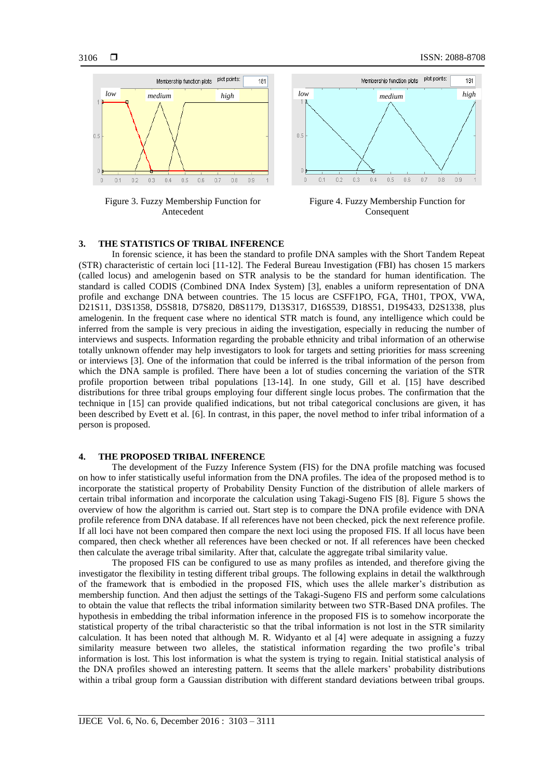

Figure 3. Fuzzy Membership Function for Antecedent



Figure 4. Fuzzy Membership Function for Consequent

#### **3. THE STATISTICS OF TRIBAL INFERENCE**

In forensic science, it has been the standard to profile DNA samples with the Short Tandem Repeat (STR) characteristic of certain loci [11-12]. The Federal Bureau Investigation (FBI) has chosen 15 markers (called locus) and amelogenin based on STR analysis to be the standard for human identification. The standard is called CODIS (Combined DNA Index System) [3], enables a uniform representation of DNA profile and exchange DNA between countries. The 15 locus are CSFF1PO, FGA, TH01, TPOX, VWA, D21S11, D3S1358, D5S818, D7S820, D8S1179, D13S317, D16S539, D18S51, D19S433, D2S1338, plus amelogenin. In the frequent case where no identical STR match is found, any intelligence which could be inferred from the sample is very precious in aiding the investigation, especially in reducing the number of interviews and suspects. Information regarding the probable ethnicity and tribal information of an otherwise totally unknown offender may help investigators to look for targets and setting priorities for mass screening or interviews [3]. One of the information that could be inferred is the tribal information of the person from which the DNA sample is profiled. There have been a lot of studies concerning the variation of the STR profile proportion between tribal populations [13-14]. In one study, Gill et al. [15] have described distributions for three tribal groups employing four different single locus probes. The confirmation that the technique in [15] can provide qualified indications, but not tribal categorical conclusions are given, it has been described by Evett et al. [6]. In contrast, in this paper, the novel method to infer tribal information of a person is proposed.

#### **4. THE PROPOSED TRIBAL INFERENCE**

The development of the Fuzzy Inference System (FIS) for the DNA profile matching was focused on how to infer statistically useful information from the DNA profiles. The idea of the proposed method is to incorporate the statistical property of Probability Density Function of the distribution of allele markers of certain tribal information and incorporate the calculation using Takagi-Sugeno FIS [8]. Figure 5 shows the overview of how the algorithm is carried out. Start step is to compare the DNA profile evidence with DNA profile reference from DNA database. If all references have not been checked, pick the next reference profile. If all loci have not been compared then compare the next loci using the proposed FIS. If all locus have been compared, then check whether all references have been checked or not. If all references have been checked then calculate the average tribal similarity. After that, calculate the aggregate tribal similarity value.

The proposed FIS can be configured to use as many profiles as intended, and therefore giving the investigator the flexibility in testing different tribal groups. The following explains in detail the walkthrough of the framework that is embodied in the proposed FIS, which uses the allele marker's distribution as membership function. And then adjust the settings of the Takagi-Sugeno FIS and perform some calculations to obtain the value that reflects the tribal information similarity between two STR-Based DNA profiles. The hypothesis in embedding the tribal information inference in the proposed FIS is to somehow incorporate the statistical property of the tribal characteristic so that the tribal information is not lost in the STR similarity calculation. It has been noted that although M. R. Widyanto et al [4] were adequate in assigning a fuzzy similarity measure between two alleles, the statistical information regarding the two profile's tribal information is lost. This lost information is what the system is trying to regain. Initial statistical analysis of the DNA profiles showed an interesting pattern. It seems that the allele markers' probability distributions within a tribal group form a Gaussian distribution with different standard deviations between tribal groups.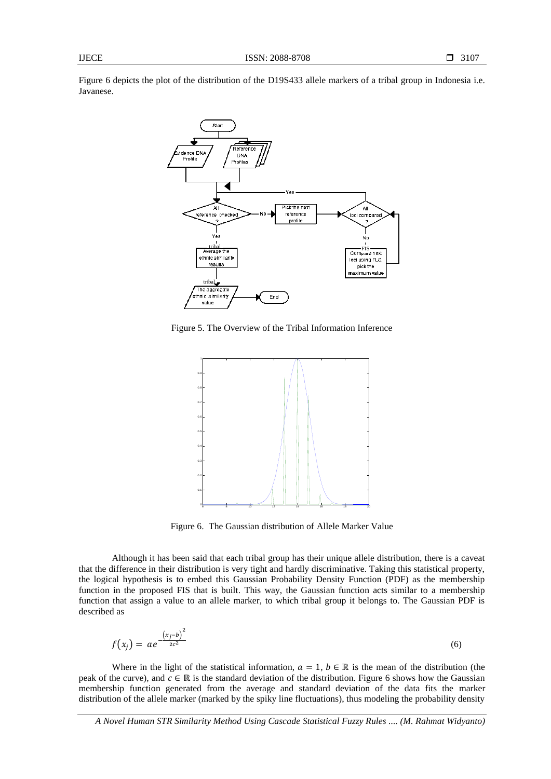Figure 6 depicts the plot of the distribution of the D19S433 allele markers of a tribal group in Indonesia i.e. Javanese.



Figure 5. The Overview of the Tribal Information Inference



Figure 6. The Gaussian distribution of Allele Marker Value

Although it has been said that each tribal group has their unique allele distribution, there is a caveat that the difference in their distribution is very tight and hardly discriminative. Taking this statistical property, the logical hypothesis is to embed this Gaussian Probability Density Function (PDF) as the membership function in the proposed FIS that is built. This way, the Gaussian function acts similar to a membership function that assign a value to an allele marker, to which tribal group it belongs to. The Gaussian PDF is described as

$$
f(x_j) = ae^{-\frac{(x_j - b)^2}{2c^2}}
$$
 (6)

Where in the light of the statistical information,  $a = 1$ ,  $b \in \mathbb{R}$  is the mean of the distribution (the peak of the curve), and  $c \in \mathbb{R}$  is the standard deviation of the distribution. Figure 6 shows how the Gaussian membership function generated from the average and standard deviation of the data fits the marker distribution of the allele marker (marked by the spiky line fluctuations), thus modeling the probability density

*A Novel Human STR Similarity Method Using Cascade Statistical Fuzzy Rules .... (M. Rahmat Widyanto)*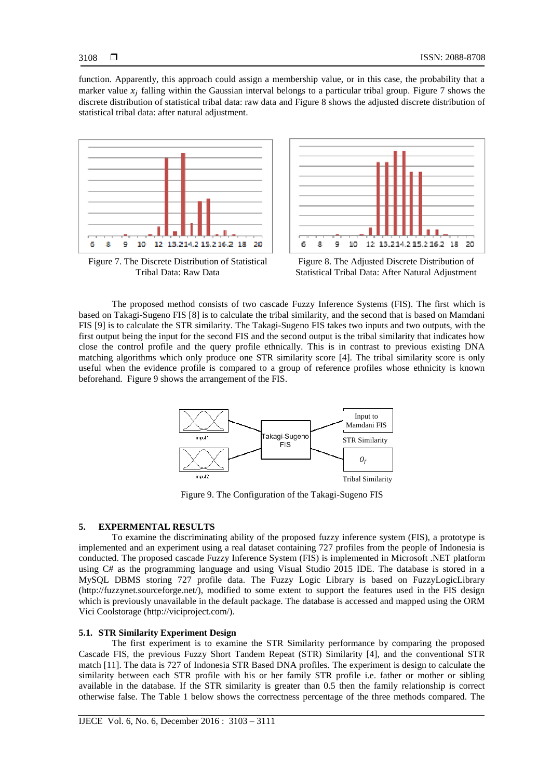function. Apparently, this approach could assign a membership value, or in this case, the probability that a marker value  $x_i$  falling within the Gaussian interval belongs to a particular tribal group. Figure 7 shows the discrete distribution of statistical tribal data: raw data and Figure 8 shows the adjusted discrete distribution of statistical tribal data: after natural adjustment.



Figure 7. The Discrete Distribution of Statistical Tribal Data: Raw Data



Figure 8. The Adjusted Discrete Distribution of Statistical Tribal Data: After Natural Adjustment

The proposed method consists of two cascade Fuzzy Inference Systems (FIS). The first which is based on Takagi-Sugeno FIS [8] is to calculate the tribal similarity, and the second that is based on Mamdani FIS [9] is to calculate the STR similarity. The Takagi-Sugeno FIS takes two inputs and two outputs, with the first output being the input for the second FIS and the second output is the tribal similarity that indicates how close the control profile and the query profile ethnically. This is in contrast to previous existing DNA matching algorithms which only produce one STR similarity score [4]. The tribal similarity score is only useful when the evidence profile is compared to a group of reference profiles whose ethnicity is known beforehand. Figure 9 shows the arrangement of the FIS.



Figure 9. The Configuration of the Takagi-Sugeno FIS

#### **5. EXPERMENTAL RESULTS**

To examine the discriminating ability of the proposed fuzzy inference system (FIS), a prototype is implemented and an experiment using a real dataset containing 727 profiles from the people of Indonesia is conducted. The proposed cascade Fuzzy Inference System (FIS) is implemented in Microsoft .NET platform using C# as the programming language and using Visual Studio 2015 IDE. The database is stored in a MySQL DBMS storing 727 profile data. The Fuzzy Logic Library is based on FuzzyLogicLibrary (http://fuzzynet.sourceforge.net/), modified to some extent to support the features used in the FIS design which is previously unavailable in the default package. The database is accessed and mapped using the ORM Vici Coolstorage [\(http://viciproject.com/\)](http://viciproject.com/).

## **5.1. STR Similarity Experiment Design**

The first experiment is to examine the STR Similarity performance by comparing the proposed Cascade FIS, the previous Fuzzy Short Tandem Repeat (STR) Similarity [4], and the conventional STR match [11]. The data is 727 of Indonesia STR Based DNA profiles. The experiment is design to calculate the similarity between each STR profile with his or her family STR profile i.e. father or mother or sibling available in the database. If the STR similarity is greater than 0.5 then the family relationship is correct otherwise false. The Table 1 below shows the correctness percentage of the three methods compared. The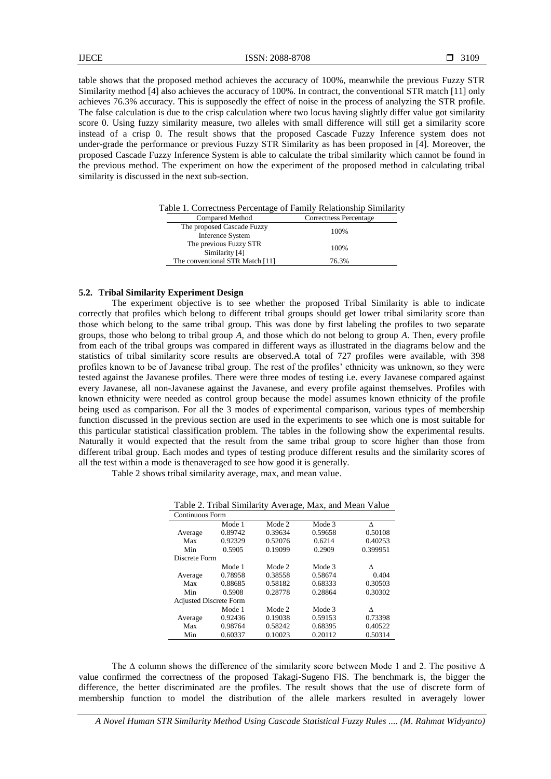IJECE ISSN: 2088-8708

table shows that the proposed method achieves the accuracy of 100%, meanwhile the previous Fuzzy STR Similarity method [4] also achieves the accuracy of 100%. In contract, the conventional STR match [11] only achieves 76.3% accuracy. This is supposedly the effect of noise in the process of analyzing the STR profile. The false calculation is due to the crisp calculation where two locus having slightly differ value got similarity score 0. Using fuzzy similarity measure, two alleles with small difference will still get a similarity score instead of a crisp 0. The result shows that the proposed Cascade Fuzzy Inference system does not under-grade the performance or previous Fuzzy STR Similarity as has been proposed in [4]. Moreover, the proposed Cascade Fuzzy Inference System is able to calculate the tribal similarity which cannot be found in the previous method. The experiment on how the experiment of the proposed method in calculating tribal similarity is discussed in the next sub-section.

Table 1. Correctness Percentage of Family Relationship Similarity

| Compared Method                                | Correctness Percentage |
|------------------------------------------------|------------------------|
| The proposed Cascade Fuzzy<br>Inference System | 100\%                  |
| The previous Fuzzy STR<br>Similarity [4]       | 100\%                  |
| The conventional STR Match [11]                | 76.3%                  |
|                                                |                        |

#### **5.2. Tribal Similarity Experiment Design**

The experiment objective is to see whether the proposed Tribal Similarity is able to indicate correctly that profiles which belong to different tribal groups should get lower tribal similarity score than those which belong to the same tribal group. This was done by first labeling the profiles to two separate groups, those who belong to tribal group *A*, and those which do not belong to group *A*. Then, every profile from each of the tribal groups was compared in different ways as illustrated in the diagrams below and the statistics of tribal similarity score results are observed.A total of 727 profiles were available, with 398 profiles known to be of Javanese tribal group. The rest of the profiles' ethnicity was unknown, so they were tested against the Javanese profiles. There were three modes of testing i.e. every Javanese compared against every Javanese, all non-Javanese against the Javanese, and every profile against themselves. Profiles with known ethnicity were needed as control group because the model assumes known ethnicity of the profile being used as comparison. For all the 3 modes of experimental comparison, various types of membership function discussed in the previous section are used in the experiments to see which one is most suitable for this particular statistical classification problem. The tables in the following show the experimental results. Naturally it would expected that the result from the same tribal group to score higher than those from different tribal group. Each modes and types of testing produce different results and the similarity scores of all the test within a mode is thenaveraged to see how good it is generally.

Table 2 shows tribal similarity average, max, and mean value.

Table 2. Tribal Similarity Average, Max, and Mean Value

| <b>Continuous Form</b>        |         |         |         |          |
|-------------------------------|---------|---------|---------|----------|
|                               | Mode 1  | Mode 2  | Mode 3  | л        |
| Average                       | 0.89742 | 0.39634 | 0.59658 | 0.50108  |
| Max                           | 0.92329 | 0.52076 | 0.6214  | 0.40253  |
| Min                           | 0.5905  | 0.19099 | 0.2909  | 0.399951 |
| Discrete Form                 |         |         |         |          |
|                               | Mode 1  | Mode 2  | Mode 3  | Λ        |
| Average                       | 0.78958 | 0.38558 | 0.58674 | 0.404    |
| Max                           | 0.88685 | 0.58182 | 0.68333 | 0.30503  |
| Min                           | 0.5908  | 0.28778 | 0.28864 | 0.30302  |
| <b>Adjusted Discrete Form</b> |         |         |         |          |
|                               | Mode 1  | Mode 2  | Mode 3  | Λ        |
| Average                       | 0.92436 | 0.19038 | 0.59153 | 0.73398  |
| Max                           | 0.98764 | 0.58242 | 0.68395 | 0.40522  |
| Min                           | 0.60337 | 0.10023 | 0.20112 | 0.50314  |

The ∆ column shows the difference of the similarity score between Mode 1 and 2. The positive **∆**  value confirmed the correctness of the proposed Takagi-Sugeno FIS. The benchmark is, the bigger the difference, the better discriminated are the profiles. The result shows that the use of discrete form of membership function to model the distribution of the allele markers resulted in averagely lower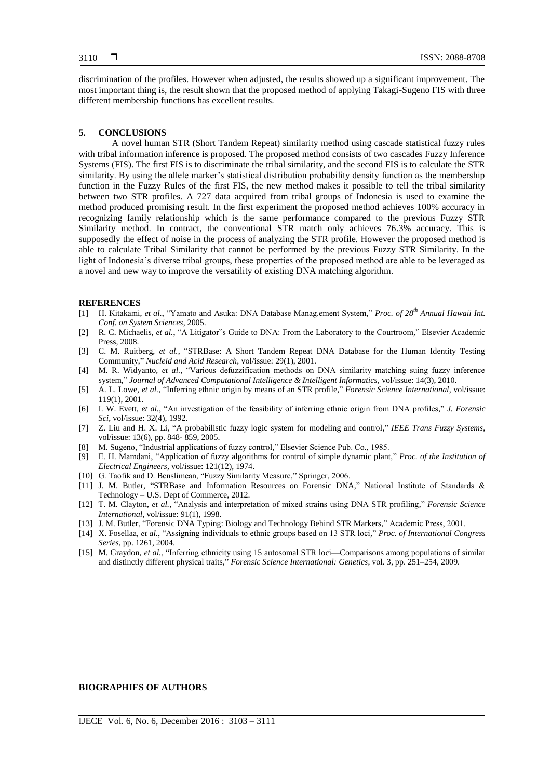discrimination of the profiles. However when adjusted, the results showed up a significant improvement. The most important thing is, the result shown that the proposed method of applying Takagi-Sugeno FIS with three different membership functions has excellent results.

#### **5. CONCLUSIONS**

A novel human STR (Short Tandem Repeat) similarity method using cascade statistical fuzzy rules with tribal information inference is proposed. The proposed method consists of two cascades Fuzzy Inference Systems (FIS). The first FIS is to discriminate the tribal similarity, and the second FIS is to calculate the STR similarity. By using the allele marker's statistical distribution probability density function as the membership function in the Fuzzy Rules of the first FIS, the new method makes it possible to tell the tribal similarity between two STR profiles. A 727 data acquired from tribal groups of Indonesia is used to examine the method produced promising result. In the first experiment the proposed method achieves 100% accuracy in recognizing family relationship which is the same performance compared to the previous Fuzzy STR Similarity method. In contract, the conventional STR match only achieves 76.3% accuracy. This is supposedly the effect of noise in the process of analyzing the STR profile. However the proposed method is able to calculate Tribal Similarity that cannot be performed by the previous Fuzzy STR Similarity. In the light of Indonesia's diverse tribal groups, these properties of the proposed method are able to be leveraged as a novel and new way to improve the versatility of existing DNA matching algorithm.

#### **REFERENCES**

- [1] H. Kitakami, et al., "Yamato and Asuka: DNA Database Manag.ement System," Proc. of 28<sup>th</sup> Annual Hawaii Int. *Conf. on System Sciences*, 2005.
- [2] R. C. Michaelis, *et al.*, "A Litigator"s Guide to DNA: From the Laboratory to the Courtroom," Elsevier Academic Press, 2008.
- [3] C. M. Ruitberg, *et al.*, "STRBase: A Short Tandem Repeat DNA Database for the Human Identity Testing Community," *Nucleid and Acid Research*, vol/issue: 29(1), 2001.
- [4] M. R. Widyanto, *et al.*, "Various defuzzification methods on DNA similarity matching suing fuzzy inference system," *Journal of Advanced Computational Intelligence & Intelligent Informatics*, vol/issue: 14(3), 2010.
- [5] A. L. Lowe, et al., "Inferring ethnic origin by means of an STR profile," *Forensic Science International*, vol/issue: 119(1), 2001.
- [6] I. W. Evett, *et al.*, "An investigation of the feasibility of inferring ethnic origin from DNA profiles," *J. Forensic Sci*, vol/issue: 32(4), 1992.
- [7] Z. Liu and H. X. Li, "A probabilistic fuzzy logic system for modeling and control," *IEEE Trans Fuzzy Systems*, vol/issue: 13(6), pp. 848- 859, 2005.
- [8] M. Sugeno, "Industrial applications of fuzzy control," Elsevier Science Pub. Co., 1985.
- [9] E. H. Mamdani, "Application of fuzzy algorithms for control of simple dynamic plant," *Proc. of the Institution of Electrical Engineers*, vol/issue: 121(12), 1974.
- [10] G. Taofik and D. Benslimean, "Fuzzy Similarity Measure," Springer, 2006.
- [11] J. M. Butler, "STRBase and Information Resources on Forensic DNA," National Institute of Standards & Technology – U.S. Dept of Commerce, 2012.
- [12] T. M. Clayton, et al., "Analysis and interpretation of mixed strains using DNA STR profiling," *Forensic Science International*, vol/issue: 91(1), 1998.
- [13] J. M. Butler, "Forensic DNA Typing: Biology and Technology Behind STR Markers," Academic Press, 2001.
- [14] X. Fosellaa, *et al.*, "Assigning individuals to ethnic groups based on 13 STR loci," *Proc. of International Congress Series*, pp. 1261, 2004.
- [15] M. Graydon, et al., "Inferring ethnicity using 15 autosomal STR loci—Comparisons among populations of similar and distinctly different physical traits," *Forensic Science International: Genetics*, vol. 3, pp. 251–254, 2009.

# **BIOGRAPHIES OF AUTHORS**